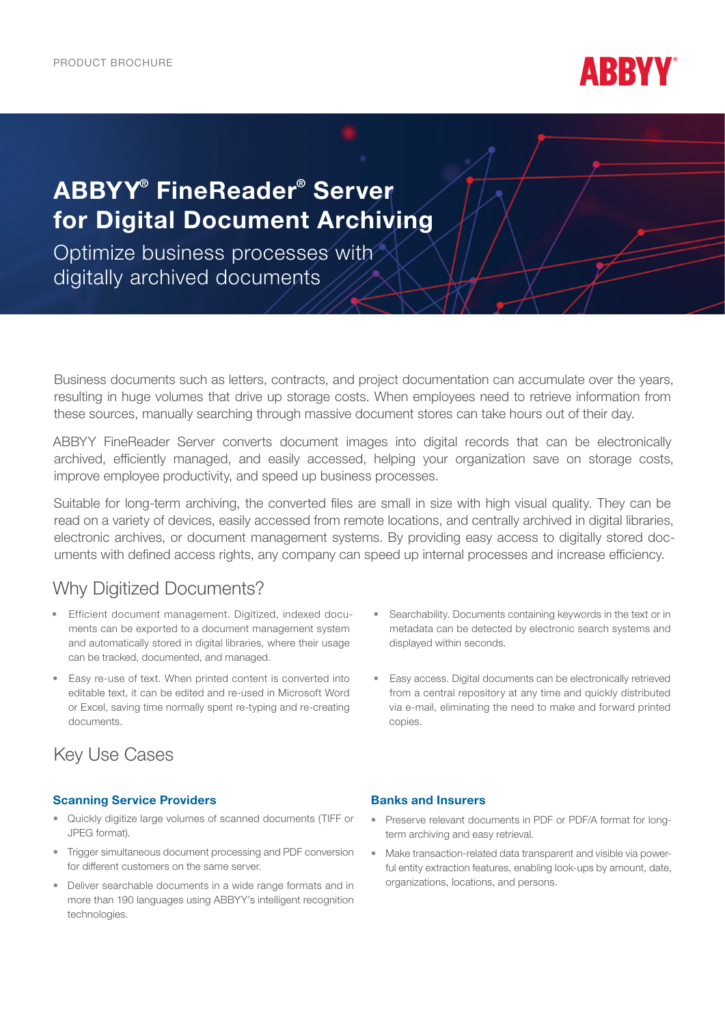PRODUCT BROCHURE



# ABBYY® FineReader® Server for Digital Document Archiving

Optimize business processes with digitally archived documents

Business documents such as letters, contracts, and project documentation can accumulate over the years, resulting in huge volumes that drive up storage costs. When employees need to retrieve information from these sources, manually searching through massive document stores can take hours out of their day.

ABBYY FineReader Server converts document images into digital records that can be electronically archived, efficiently managed, and easily accessed, helping your organization save on storage costs, improve employee productivity, and speed up business processes.

Suitable for long-term archiving, the converted files are small in size with high visual quality. They can be read on a variety of devices, easily accessed from remote locations, and centrally archived in digital libraries, electronic archives, or document management systems. By providing easy access to digitally stored documents with defined access rights, any company can speed up internal processes and increase efficiency.

### Why Digitized Documents?

- Efficient document management. Digitized, indexed documents can be exported to a document management system and automatically stored in digital libraries, where their usage can be tracked, documented, and managed.
- Easy re-use of text. When printed content is converted into editable text, it can be edited and re-used in Microsoft Word or Excel, saving time normally spent re-typing and re-creating documents.
- Searchability. Documents containing keywords in the text or in metadata can be detected by electronic search systems and displayed within seconds.
- Easy access. Digital documents can be electronically retrieved from a central repository at any time and quickly distributed via e-mail, eliminating the need to make and forward printed copies.

## Key Use Cases

#### Scanning Service Providers

- Quickly digitize large volumes of scanned documents (TIFF or JPEG format).
- Trigger simultaneous document processing and PDF conversion for different customers on the same server.
- Deliver searchable documents in a wide range formats and in more than 190 languages using ABBYY's intelligent recognition technologies.

#### Banks and Insurers

- Preserve relevant documents in PDF or PDF/A format for longterm archiving and easy retrieval.
- Make transaction-related data transparent and visible via powerful entity extraction features, enabling look-ups by amount, date, organizations, locations, and persons.